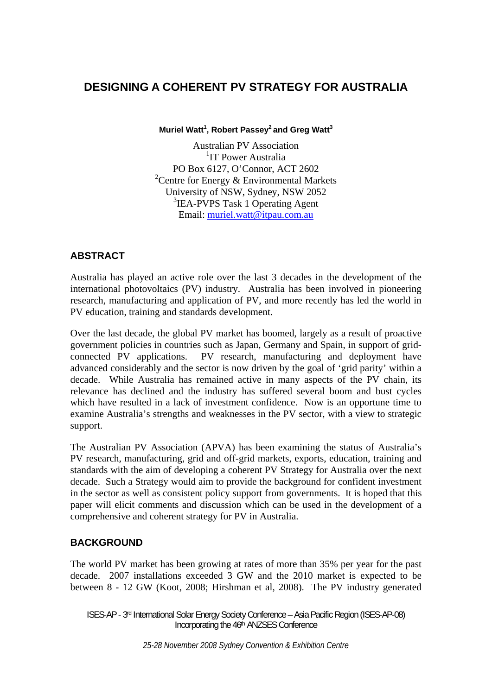# **DESIGNING A COHERENT PV STRATEGY FOR AUSTRALIA**

**Muriel Watt<sup>1</sup> , Robert Passey2 and Greg Watt3**

Australian PV Association <sup>1</sup>IT Power Australia PO Box 6127, O'Connor, ACT 2602 <sup>2</sup> Centre for Energy & Environmental Markets University of NSW, Sydney, NSW 2052 3 IEA-PVPS Task 1 Operating Agent Email: muriel.watt@itpau.com.au

# **ABSTRACT**

Australia has played an active role over the last 3 decades in the development of the international photovoltaics (PV) industry. Australia has been involved in pioneering research, manufacturing and application of PV, and more recently has led the world in PV education, training and standards development.

Over the last decade, the global PV market has boomed, largely as a result of proactive government policies in countries such as Japan, Germany and Spain, in support of gridconnected PV applications. PV research, manufacturing and deployment have advanced considerably and the sector is now driven by the goal of 'grid parity' within a decade. While Australia has remained active in many aspects of the PV chain, its relevance has declined and the industry has suffered several boom and bust cycles which have resulted in a lack of investment confidence. Now is an opportune time to examine Australia's strengths and weaknesses in the PV sector, with a view to strategic support.

The Australian PV Association (APVA) has been examining the status of Australia's PV research, manufacturing, grid and off-grid markets, exports, education, training and standards with the aim of developing a coherent PV Strategy for Australia over the next decade. Such a Strategy would aim to provide the background for confident investment in the sector as well as consistent policy support from governments. It is hoped that this paper will elicit comments and discussion which can be used in the development of a comprehensive and coherent strategy for PV in Australia.

# **BACKGROUND**

The world PV market has been growing at rates of more than 35% per year for the past decade. 2007 installations exceeded 3 GW and the 2010 market is expected to be between 8 - 12 GW (Koot, 2008; Hirshman et al, 2008). The PV industry generated

ISES-AP - 3rd International Solar Energy Society Conference – Asia Pacific Region (ISES-AP-08) Incorporating the 46th ANZSES Conference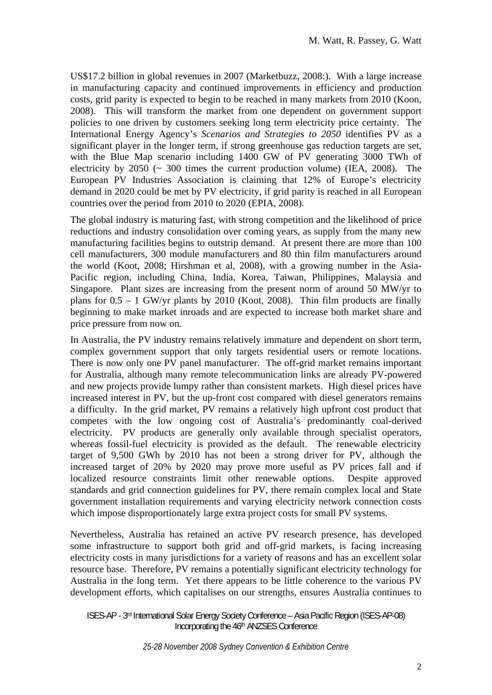US\$17.2 billion in global revenues in 2007 (Marketbuzz, 2008:). With a large increase in manufacturing capacity and continued improvements in efficiency and production costs, grid parity is expected to begin to be reached in many markets from 2010 (Koon, 2008). This will transform the market from one dependent on government support policies to one driven by customers seeking long term electricity price certainty. The International Energy Agency's *Scenarios and Strategies to 2050* identifies PV as a significant player in the longer term, if strong greenhouse gas reduction targets are set, with the Blue Map scenario including 1400 GW of PV generating 3000 TWh of electricity by  $2050 \approx 300$  times the current production volume) (IEA, 2008). The European PV Industries Association is claiming that 12% of Europe's electricity demand in 2020 could be met by PV electricity, if grid parity is reached in all European countries over the period from 2010 to 2020 (EPIA, 2008).

The global industry is maturing fast, with strong competition and the likelihood of price reductions and industry consolidation over coming years, as supply from the many new manufacturing facilities begins to outstrip demand. At present there are more than 100 cell manufacturers, 300 module manufacturers and 80 thin film manufacturers around the world (Koot, 2008; Hirshman et al, 2008), with a growing number in the Asia-Pacific region, including China, India, Korea, Taiwan, Philippines, Malaysia and Singapore. Plant sizes are increasing from the present norm of around 50 MW/yr to plans for  $0.5 - 1$  GW/yr plants by 2010 (Koot, 2008). Thin film products are finally beginning to make market inroads and are expected to increase both market share and price pressure from now on.

In Australia, the PV industry remains relatively immature and dependent on short term, complex government support that only targets residential users or remote locations. There is now only one PV panel manufacturer. The off-grid market remains important for Australia, although many remote telecommunication links are already PV-powered and new projects provide lumpy rather than consistent markets. High diesel prices have increased interest in PV, but the up-front cost compared with diesel generators remains a difficulty. In the grid market, PV remains a relatively high upfront cost product that competes with the low ongoing cost of Australia's predominantly coal-derived electricity. PV products are generally only available through specialist operators, whereas fossil-fuel electricity is provided as the default. The renewable electricity target of 9,500 GWh by 2010 has not been a strong driver for PV, although the increased target of 20% by 2020 may prove more useful as PV prices fall and if localized resource constraints limit other renewable options. Despite approved standards and grid connection guidelines for PV, there remain complex local and State government installation requirements and varying electricity network connection costs which impose disproportionately large extra project costs for small PV systems.

Nevertheless, Australia has retained an active PV research presence, has developed some infrastructure to support both grid and off-grid markets, is facing increasing electricity costs in many jurisdictions for a variety of reasons and has an excellent solar resource base. Therefore, PV remains a potentially significant electricity technology for Australia in the long term. Yet there appears to be little coherence to the various PV development efforts, which capitalises on our strengths, ensures Australia continues to

ISES-AP - 3rd International Solar Energy Society Conference – Asia Pacific Region (ISES-AP-08) Incorporating the 46th ANZSES Conference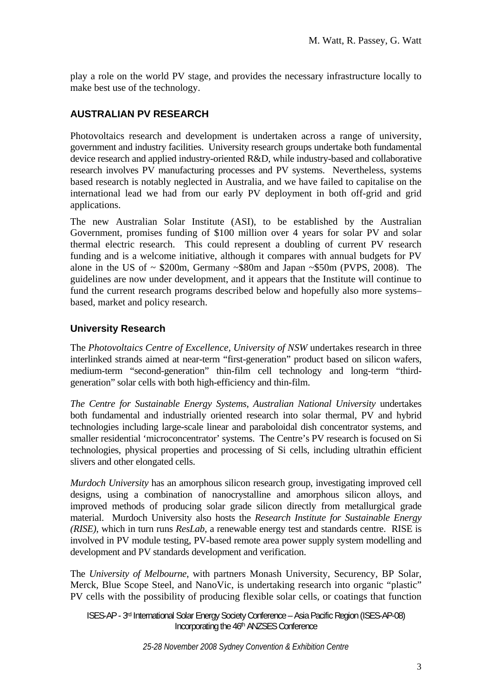play a role on the world PV stage, and provides the necessary infrastructure locally to make best use of the technology.

# **AUSTRALIAN PV RESEARCH**

Photovoltaics research and development is undertaken across a range of university, government and industry facilities. University research groups undertake both fundamental device research and applied industry-oriented R&D, while industry-based and collaborative research involves PV manufacturing processes and PV systems. Nevertheless, systems based research is notably neglected in Australia, and we have failed to capitalise on the international lead we had from our early PV deployment in both off-grid and grid applications.

The new Australian Solar Institute (ASI), to be established by the Australian Government, promises funding of \$100 million over 4 years for solar PV and solar thermal electric research. This could represent a doubling of current PV research funding and is a welcome initiative, although it compares with annual budgets for PV alone in the US of  $\sim$  \$200m, Germany  $\sim$  \$80m and Japan  $\sim$  \$50m (PVPS, 2008). The guidelines are now under development, and it appears that the Institute will continue to fund the current research programs described below and hopefully also more systems– based, market and policy research.

## **University Research**

The *Photovoltaics Centre of Excellence, University of NSW* undertakes research in three interlinked strands aimed at near-term "first-generation" product based on silicon wafers, medium-term "second-generation" thin-film cell technology and long-term "thirdgeneration" solar cells with both high-efficiency and thin-film.

*The Centre for Sustainable Energy Systems, Australian National University* undertakes both fundamental and industrially oriented research into solar thermal, PV and hybrid technologies including large-scale linear and paraboloidal dish concentrator systems, and smaller residential 'microconcentrator' systems. The Centre's PV research is focused on Si technologies, physical properties and processing of Si cells, including ultrathin efficient slivers and other elongated cells.

*Murdoch University* has an amorphous silicon research group, investigating improved cell designs, using a combination of nanocrystalline and amorphous silicon alloys, and improved methods of producing solar grade silicon directly from metallurgical grade material. Murdoch University also hosts the *Research Institute for Sustainable Energy (RISE)*, which in turn runs *ResLab*, a renewable energy test and standards centre. RISE is involved in PV module testing, PV-based remote area power supply system modelling and development and PV standards development and verification.

The *University of Melbourne*, with partners Monash University, Securency, BP Solar, Merck, Blue Scope Steel, and NanoVic, is undertaking research into organic "plastic" PV cells with the possibility of producing flexible solar cells, or coatings that function

ISES-AP - 3rd International Solar Energy Society Conference – Asia Pacific Region (ISES-AP-08) Incorporating the 46th ANZSES Conference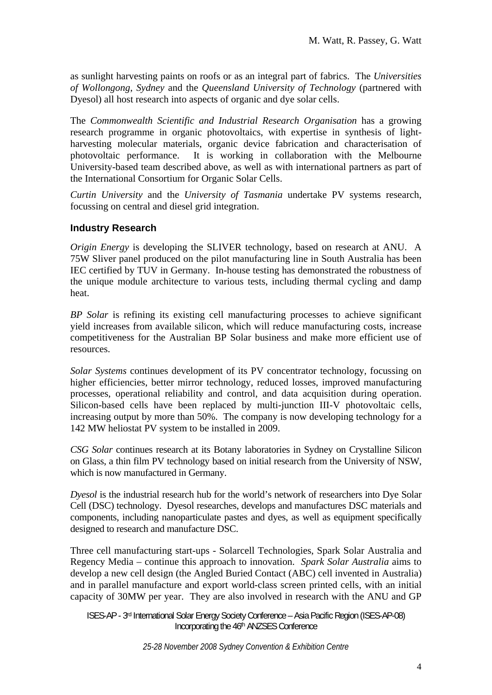as sunlight harvesting paints on roofs or as an integral part of fabrics. The *Universities of Wollongong*, *Sydney* and the *Queensland University of Technology* (partnered with Dyesol) all host research into aspects of organic and dye solar cells.

The *Commonwealth Scientific and Industrial Research Organisation* has a growing research programme in organic photovoltaics, with expertise in synthesis of lightharvesting molecular materials, organic device fabrication and characterisation of photovoltaic performance. It is working in collaboration with the Melbourne University-based team described above, as well as with international partners as part of the International Consortium for Organic Solar Cells.

*Curtin University* and the *University of Tasmania* undertake PV systems research, focussing on central and diesel grid integration.

# **Industry Research**

*Origin Energy* is developing the SLIVER technology, based on research at ANU. A 75W Sliver panel produced on the pilot manufacturing line in South Australia has been IEC certified by TUV in Germany. In-house testing has demonstrated the robustness of the unique module architecture to various tests, including thermal cycling and damp heat.

*BP Solar* is refining its existing cell manufacturing processes to achieve significant yield increases from available silicon, which will reduce manufacturing costs, increase competitiveness for the Australian BP Solar business and make more efficient use of resources.

*Solar Systems* continues development of its PV concentrator technology, focussing on higher efficiencies, better mirror technology, reduced losses, improved manufacturing processes, operational reliability and control, and data acquisition during operation. Silicon-based cells have been replaced by multi-junction III-V photovoltaic cells, increasing output by more than 50%. The company is now developing technology for a 142 MW heliostat PV system to be installed in 2009.

*CSG Solar* continues research at its Botany laboratories in Sydney on Crystalline Silicon on Glass, a thin film PV technology based on initial research from the University of NSW, which is now manufactured in Germany.

*Dyesol* is the industrial research hub for the world's network of researchers into Dye Solar Cell (DSC) technology. Dyesol researches, develops and manufactures DSC materials and components, including nanoparticulate pastes and dyes, as well as equipment specifically designed to research and manufacture DSC.

Three cell manufacturing start-ups - Solarcell Technologies, Spark Solar Australia and Regency Media – continue this approach to innovation. *Spark Solar Australia* aims to develop a new cell design (the Angled Buried Contact (ABC) cell invented in Australia) and in parallel manufacture and export world-class screen printed cells, with an initial capacity of 30MW per year. They are also involved in research with the ANU and GP

ISES-AP - 3rd International Solar Energy Society Conference – Asia Pacific Region (ISES-AP-08) Incorporating the 46th ANZSES Conference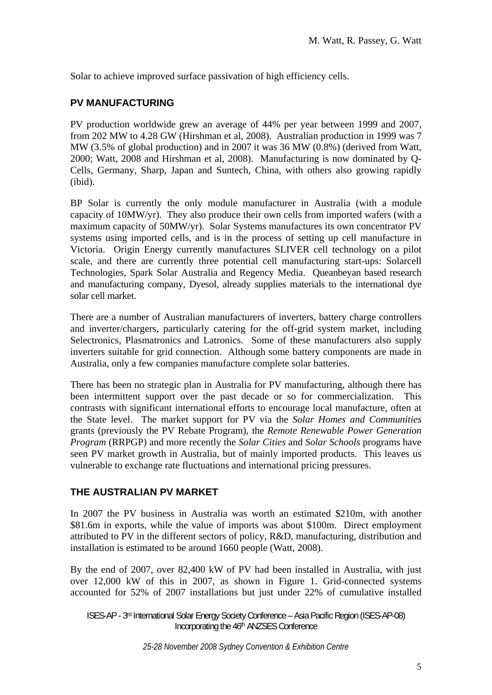Solar to achieve improved surface passivation of high efficiency cells.

## **PV MANUFACTURING**

PV production worldwide grew an average of 44% per year between 1999 and 2007, from 202 MW to 4.28 GW (Hirshman et al, 2008). Australian production in 1999 was 7 MW (3.5% of global production) and in 2007 it was 36 MW (0.8%) (derived from Watt, 2000; Watt, 2008 and Hirshman et al, 2008). Manufacturing is now dominated by Q-Cells, Germany, Sharp, Japan and Suntech, China, with others also growing rapidly (ibid).

BP Solar is currently the only module manufacturer in Australia (with a module capacity of 10MW/yr). They also produce their own cells from imported wafers (with a maximum capacity of 50MW/yr). Solar Systems manufactures its own concentrator PV systems using imported cells, and is in the process of setting up cell manufacture in Victoria. Origin Energy currently manufactures SLIVER cell technology on a pilot scale, and there are currently three potential cell manufacturing start-ups: Solarcell Technologies, Spark Solar Australia and Regency Media. Queanbeyan based research and manufacturing company, Dyesol, already supplies materials to the international dye solar cell market.

There are a number of Australian manufacturers of inverters, battery charge controllers and inverter/chargers, particularly catering for the off-grid system market, including Selectronics, Plasmatronics and Latronics. Some of these manufacturers also supply inverters suitable for grid connection. Although some battery components are made in Australia, only a few companies manufacture complete solar batteries.

There has been no strategic plan in Australia for PV manufacturing, although there has been intermittent support over the past decade or so for commercialization. This contrasts with significant international efforts to encourage local manufacture, often at the State level. The market support for PV via the *Solar Homes and Communities* grants (previously the PV Rebate Program), the *Remote Renewable Power Generation Program* (RRPGP) and more recently the *Solar Cities* and *Solar Schools* programs have seen PV market growth in Australia, but of mainly imported products. This leaves us vulnerable to exchange rate fluctuations and international pricing pressures.

### **THE AUSTRALIAN PV MARKET**

In 2007 the PV business in Australia was worth an estimated \$210m, with another \$81.6m in exports, while the value of imports was about \$100m. Direct employment attributed to PV in the different sectors of policy, R&D, manufacturing, distribution and installation is estimated to be around 1660 people (Watt, 2008).

By the end of 2007, over 82,400 kW of PV had been installed in Australia, with just over 12,000 kW of this in 2007, as shown in Figure 1. Grid-connected systems accounted for 52% of 2007 installations but just under 22% of cumulative installed

ISES-AP - 3rd International Solar Energy Society Conference – Asia Pacific Region (ISES-AP-08) Incorporating the 46th ANZSES Conference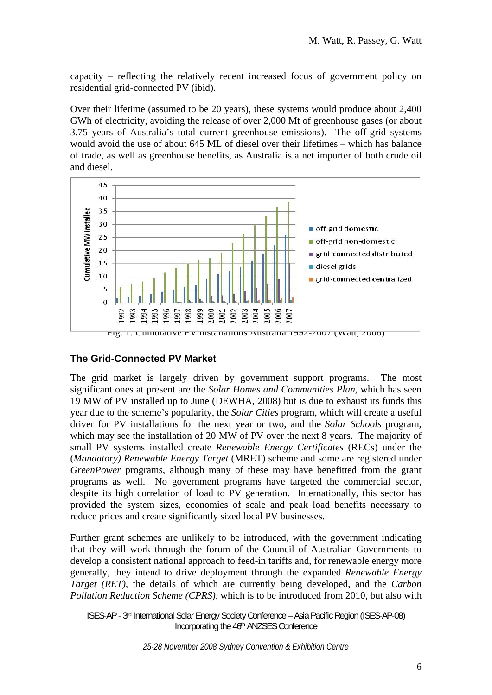capacity – reflecting the relatively recent increased focus of government policy on residential grid-connected PV (ibid).

Over their lifetime (assumed to be 20 years), these systems would produce about 2,400 GWh of electricity, avoiding the release of over 2,000 Mt of greenhouse gases (or about 3.75 years of Australia's total current greenhouse emissions). The off-grid systems would avoid the use of about 645 ML of diesel over their lifetimes – which has balance of trade, as well as greenhouse benefits, as Australia is a net importer of both crude oil and diesel.



# **The Grid-Connected PV Market**

The grid market is largely driven by government support programs. The most significant ones at present are the *Solar Homes and Communities Plan,* which has seen 19 MW of PV installed up to June (DEWHA, 2008) but is due to exhaust its funds this year due to the scheme's popularity, the *Solar Cities* program, which will create a useful driver for PV installations for the next year or two, and the *Solar Schools* program, which may see the installation of 20 MW of PV over the next 8 years. The majority of small PV systems installed create *Renewable Energy Certificates* (RECs) under the (*Mandatory) Renewable Energy Target* (MRET) scheme and some are registered under *GreenPower* programs, although many of these may have benefitted from the grant programs as well. No government programs have targeted the commercial sector, despite its high correlation of load to PV generation. Internationally, this sector has provided the system sizes, economies of scale and peak load benefits necessary to reduce prices and create significantly sized local PV businesses.

Further grant schemes are unlikely to be introduced, with the government indicating that they will work through the forum of the Council of Australian Governments to develop a consistent national approach to feed-in tariffs and, for renewable energy more generally, they intend to drive deployment through the expanded *Renewable Energy Target (RET),* the details of which are currently being developed, and the *Carbon Pollution Reduction Scheme (CPRS)*, which is to be introduced from 2010, but also with

ISES-AP - 3rd International Solar Energy Society Conference – Asia Pacific Region (ISES-AP-08) Incorporating the 46th ANZSES Conference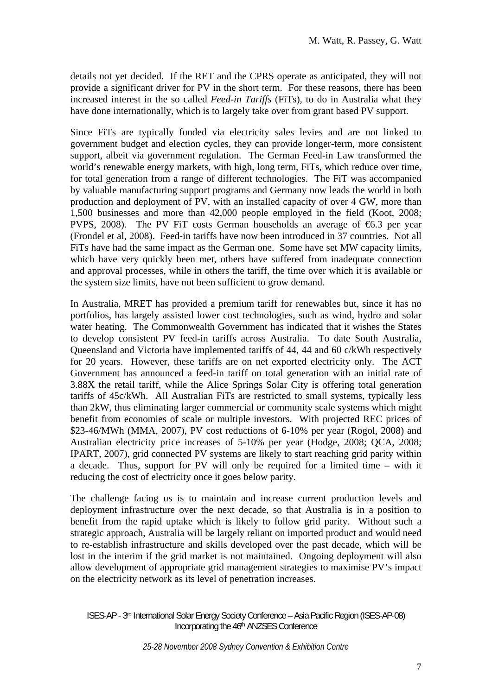details not yet decided. If the RET and the CPRS operate as anticipated, they will not provide a significant driver for PV in the short term. For these reasons, there has been increased interest in the so called *Feed-in Tariffs* (FiTs), to do in Australia what they have done internationally, which is to largely take over from grant based PV support.

Since FiTs are typically funded via electricity sales levies and are not linked to government budget and election cycles, they can provide longer-term, more consistent support, albeit via government regulation. The German Feed-in Law transformed the world's renewable energy markets, with high, long term, FiTs, which reduce over time, for total generation from a range of different technologies. The FiT was accompanied by valuable manufacturing support programs and Germany now leads the world in both production and deployment of PV, with an installed capacity of over 4 GW, more than 1,500 businesses and more than 42,000 people employed in the field (Koot, 2008; PVPS, 2008). The PV FiT costs German households an average of  $6.3$  per year (Frondel et al, 2008). Feed-in tariffs have now been introduced in 37 countries. Not all FiTs have had the same impact as the German one. Some have set MW capacity limits, which have very quickly been met, others have suffered from inadequate connection and approval processes, while in others the tariff, the time over which it is available or the system size limits, have not been sufficient to grow demand.

In Australia, MRET has provided a premium tariff for renewables but, since it has no portfolios, has largely assisted lower cost technologies, such as wind, hydro and solar water heating. The Commonwealth Government has indicated that it wishes the States to develop consistent PV feed-in tariffs across Australia. To date South Australia, Queensland and Victoria have implemented tariffs of 44, 44 and 60 c/kWh respectively for 20 years. However, these tariffs are on net exported electricity only. The ACT Government has announced a feed-in tariff on total generation with an initial rate of 3.88X the retail tariff, while the Alice Springs Solar City is offering total generation tariffs of 45c/kWh. All Australian FiTs are restricted to small systems, typically less than 2kW, thus eliminating larger commercial or community scale systems which might benefit from economies of scale or multiple investors. With projected REC prices of \$23-46/MWh (MMA, 2007), PV cost reductions of 6-10% per year (Rogol, 2008) and Australian electricity price increases of 5-10% per year (Hodge, 2008; QCA, 2008; IPART, 2007), grid connected PV systems are likely to start reaching grid parity within a decade. Thus, support for PV will only be required for a limited time – with it reducing the cost of electricity once it goes below parity.

The challenge facing us is to maintain and increase current production levels and deployment infrastructure over the next decade, so that Australia is in a position to benefit from the rapid uptake which is likely to follow grid parity. Without such a strategic approach, Australia will be largely reliant on imported product and would need to re-establish infrastructure and skills developed over the past decade, which will be lost in the interim if the grid market is not maintained. Ongoing deployment will also allow development of appropriate grid management strategies to maximise PV's impact on the electricity network as its level of penetration increases.

ISES-AP - 3rd International Solar Energy Society Conference – Asia Pacific Region (ISES-AP-08) Incorporating the 46th ANZSES Conference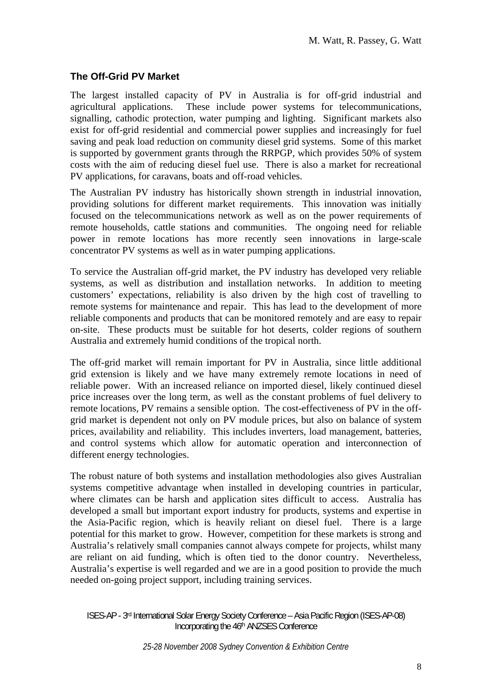## **The Off-Grid PV Market**

The largest installed capacity of PV in Australia is for off-grid industrial and agricultural applications. These include power systems for telecommunications, signalling, cathodic protection, water pumping and lighting. Significant markets also exist for off-grid residential and commercial power supplies and increasingly for fuel saving and peak load reduction on community diesel grid systems. Some of this market is supported by government grants through the RRPGP, which provides 50% of system costs with the aim of reducing diesel fuel use. There is also a market for recreational PV applications, for caravans, boats and off-road vehicles.

The Australian PV industry has historically shown strength in industrial innovation, providing solutions for different market requirements. This innovation was initially focused on the telecommunications network as well as on the power requirements of remote households, cattle stations and communities. The ongoing need for reliable power in remote locations has more recently seen innovations in large-scale concentrator PV systems as well as in water pumping applications.

To service the Australian off-grid market, the PV industry has developed very reliable systems, as well as distribution and installation networks. In addition to meeting customers' expectations, reliability is also driven by the high cost of travelling to remote systems for maintenance and repair. This has lead to the development of more reliable components and products that can be monitored remotely and are easy to repair on-site. These products must be suitable for hot deserts, colder regions of southern Australia and extremely humid conditions of the tropical north.

The off-grid market will remain important for PV in Australia, since little additional grid extension is likely and we have many extremely remote locations in need of reliable power. With an increased reliance on imported diesel, likely continued diesel price increases over the long term, as well as the constant problems of fuel delivery to remote locations, PV remains a sensible option. The cost-effectiveness of PV in the offgrid market is dependent not only on PV module prices, but also on balance of system prices, availability and reliability. This includes inverters, load management, batteries, and control systems which allow for automatic operation and interconnection of different energy technologies.

The robust nature of both systems and installation methodologies also gives Australian systems competitive advantage when installed in developing countries in particular, where climates can be harsh and application sites difficult to access. Australia has developed a small but important export industry for products, systems and expertise in the Asia-Pacific region, which is heavily reliant on diesel fuel. There is a large potential for this market to grow. However, competition for these markets is strong and Australia's relatively small companies cannot always compete for projects, whilst many are reliant on aid funding, which is often tied to the donor country. Nevertheless, Australia's expertise is well regarded and we are in a good position to provide the much needed on-going project support, including training services.

ISES-AP - 3rd International Solar Energy Society Conference – Asia Pacific Region (ISES-AP-08) Incorporating the 46th ANZSES Conference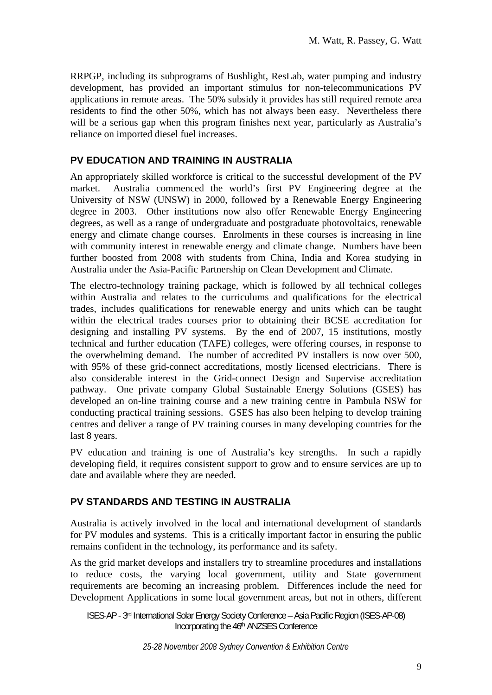RRPGP, including its subprograms of Bushlight, ResLab, water pumping and industry development, has provided an important stimulus for non-telecommunications PV applications in remote areas. The 50% subsidy it provides has still required remote area residents to find the other 50%, which has not always been easy. Nevertheless there will be a serious gap when this program finishes next year, particularly as Australia's reliance on imported diesel fuel increases.

## **PV EDUCATION AND TRAINING IN AUSTRALIA**

An appropriately skilled workforce is critical to the successful development of the PV market. Australia commenced the world's first PV Engineering degree at the University of NSW (UNSW) in 2000, followed by a Renewable Energy Engineering degree in 2003. Other institutions now also offer Renewable Energy Engineering degrees, as well as a range of undergraduate and postgraduate photovoltaics, renewable energy and climate change courses. Enrolments in these courses is increasing in line with community interest in renewable energy and climate change. Numbers have been further boosted from 2008 with students from China, India and Korea studying in Australia under the Asia-Pacific Partnership on Clean Development and Climate.

The electro-technology training package, which is followed by all technical colleges within Australia and relates to the curriculums and qualifications for the electrical trades, includes qualifications for renewable energy and units which can be taught within the electrical trades courses prior to obtaining their BCSE accreditation for designing and installing PV systems. By the end of 2007, 15 institutions, mostly technical and further education (TAFE) colleges, were offering courses, in response to the overwhelming demand. The number of accredited PV installers is now over 500, with 95% of these grid-connect accreditations, mostly licensed electricians. There is also considerable interest in the Grid-connect Design and Supervise accreditation pathway. One private company Global Sustainable Energy Solutions (GSES) has developed an on-line training course and a new training centre in Pambula NSW for conducting practical training sessions. GSES has also been helping to develop training centres and deliver a range of PV training courses in many developing countries for the last 8 years.

PV education and training is one of Australia's key strengths. In such a rapidly developing field, it requires consistent support to grow and to ensure services are up to date and available where they are needed.

# **PV STANDARDS AND TESTING IN AUSTRALIA**

Australia is actively involved in the local and international development of standards for PV modules and systems. This is a critically important factor in ensuring the public remains confident in the technology, its performance and its safety.

As the grid market develops and installers try to streamline procedures and installations to reduce costs, the varying local government, utility and State government requirements are becoming an increasing problem. Differences include the need for Development Applications in some local government areas, but not in others, different

ISES-AP - 3rd International Solar Energy Society Conference – Asia Pacific Region (ISES-AP-08) Incorporating the 46th ANZSES Conference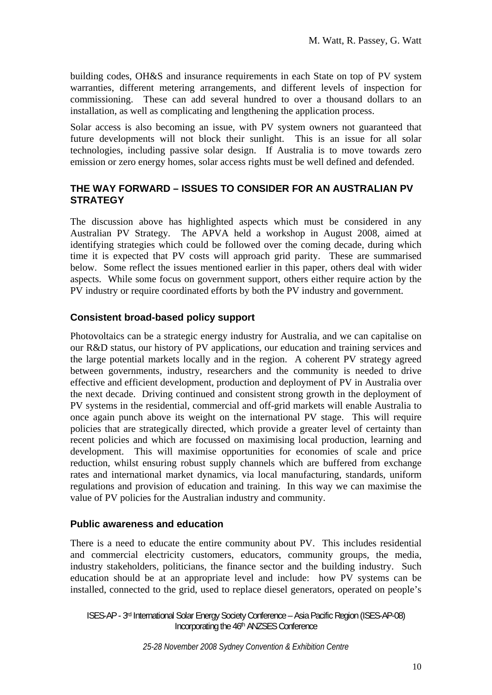building codes, OH&S and insurance requirements in each State on top of PV system warranties, different metering arrangements, and different levels of inspection for commissioning. These can add several hundred to over a thousand dollars to an installation, as well as complicating and lengthening the application process.

Solar access is also becoming an issue, with PV system owners not guaranteed that future developments will not block their sunlight. This is an issue for all solar technologies, including passive solar design. If Australia is to move towards zero emission or zero energy homes, solar access rights must be well defined and defended.

# **THE WAY FORWARD – ISSUES TO CONSIDER FOR AN AUSTRALIAN PV STRATEGY**

The discussion above has highlighted aspects which must be considered in any Australian PV Strategy. The APVA held a workshop in August 2008, aimed at identifying strategies which could be followed over the coming decade, during which time it is expected that PV costs will approach grid parity. These are summarised below. Some reflect the issues mentioned earlier in this paper, others deal with wider aspects. While some focus on government support, others either require action by the PV industry or require coordinated efforts by both the PV industry and government.

## **Consistent broad-based policy support**

Photovoltaics can be a strategic energy industry for Australia, and we can capitalise on our R&D status, our history of PV applications, our education and training services and the large potential markets locally and in the region. A coherent PV strategy agreed between governments, industry, researchers and the community is needed to drive effective and efficient development, production and deployment of PV in Australia over the next decade. Driving continued and consistent strong growth in the deployment of PV systems in the residential, commercial and off-grid markets will enable Australia to once again punch above its weight on the international PV stage. This will require policies that are strategically directed, which provide a greater level of certainty than recent policies and which are focussed on maximising local production, learning and development. This will maximise opportunities for economies of scale and price reduction, whilst ensuring robust supply channels which are buffered from exchange rates and international market dynamics, via local manufacturing, standards, uniform regulations and provision of education and training. In this way we can maximise the value of PV policies for the Australian industry and community.

### **Public awareness and education**

There is a need to educate the entire community about PV. This includes residential and commercial electricity customers, educators, community groups, the media, industry stakeholders, politicians, the finance sector and the building industry. Such education should be at an appropriate level and include: how PV systems can be installed, connected to the grid, used to replace diesel generators, operated on people's

ISES-AP - 3rd International Solar Energy Society Conference – Asia Pacific Region (ISES-AP-08) Incorporating the 46th ANZSES Conference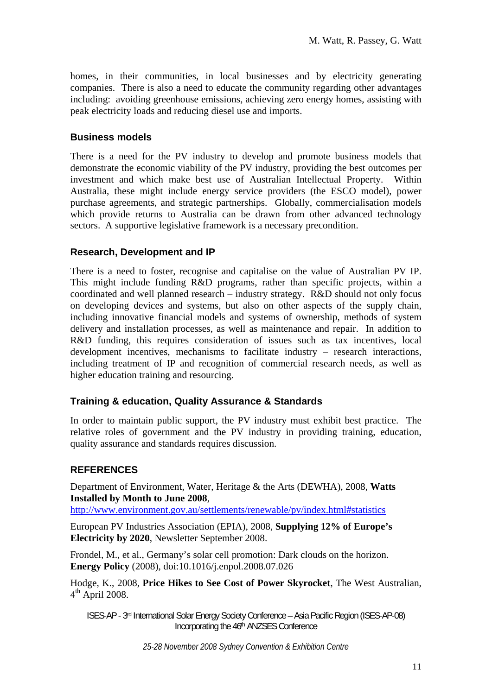homes, in their communities, in local businesses and by electricity generating companies. There is also a need to educate the community regarding other advantages including: avoiding greenhouse emissions, achieving zero energy homes, assisting with peak electricity loads and reducing diesel use and imports.

### **Business models**

There is a need for the PV industry to develop and promote business models that demonstrate the economic viability of the PV industry, providing the best outcomes per investment and which make best use of Australian Intellectual Property. Within Australia, these might include energy service providers (the ESCO model), power purchase agreements, and strategic partnerships. Globally, commercialisation models which provide returns to Australia can be drawn from other advanced technology sectors. A supportive legislative framework is a necessary precondition.

## **Research, Development and IP**

There is a need to foster, recognise and capitalise on the value of Australian PV IP. This might include funding R&D programs, rather than specific projects, within a coordinated and well planned research – industry strategy. R&D should not only focus on developing devices and systems, but also on other aspects of the supply chain, including innovative financial models and systems of ownership, methods of system delivery and installation processes, as well as maintenance and repair. In addition to R&D funding, this requires consideration of issues such as tax incentives, local development incentives, mechanisms to facilitate industry – research interactions, including treatment of IP and recognition of commercial research needs, as well as higher education training and resourcing.

### **Training & education, Quality Assurance & Standards**

In order to maintain public support, the PV industry must exhibit best practice. The relative roles of government and the PV industry in providing training, education, quality assurance and standards requires discussion.

### **REFERENCES**

Department of Environment, Water, Heritage & the Arts (DEWHA), 2008, **Watts Installed by Month to June 2008**,

http://www.environment.gov.au/settlements/renewable/pv/index.html#statistics

European PV Industries Association (EPIA), 2008, **Supplying 12% of Europe's Electricity by 2020**, Newsletter September 2008.

Frondel, M., et al., Germany's solar cell promotion: Dark clouds on the horizon. **Energy Policy** (2008), doi:10.1016/j.enpol.2008.07.026

Hodge, K., 2008, **Price Hikes to See Cost of Power Skyrocket**, The West Australian,  $4<sup>th</sup>$  April 2008.

ISES-AP - 3rd International Solar Energy Society Conference – Asia Pacific Region (ISES-AP-08) Incorporating the 46th ANZSES Conference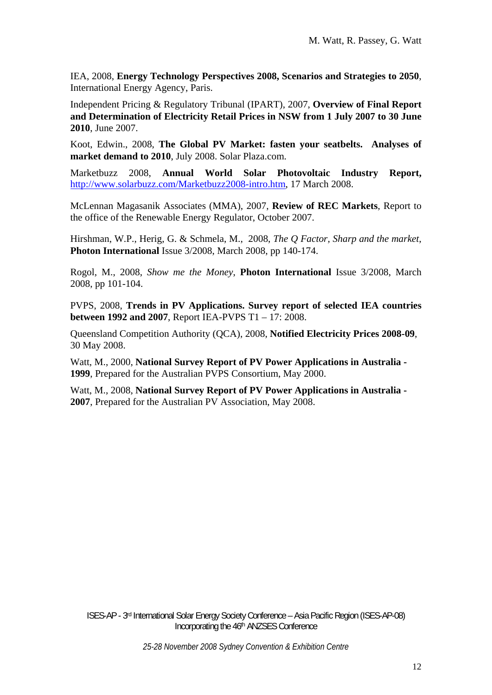IEA, 2008, **Energy Technology Perspectives 2008, Scenarios and Strategies to 2050**, International Energy Agency, Paris.

Independent Pricing & Regulatory Tribunal (IPART), 2007, **Overview of Final Report and Determination of Electricity Retail Prices in NSW from 1 July 2007 to 30 June 2010**, June 2007.

Koot, Edwin., 2008, **The Global PV Market: fasten your seatbelts. Analyses of market demand to 2010**, July 2008. Solar Plaza.com.

Marketbuzz 2008, **Annual World Solar Photovoltaic Industry Report,**  http://www.solarbuzz.com/Marketbuzz2008-intro.htm, 17 March 2008.

McLennan Magasanik Associates (MMA), 2007, **Review of REC Markets**, Report to the office of the Renewable Energy Regulator, October 2007.

Hirshman, W.P., Herig, G. & Schmela, M., 2008, *The Q Factor, Sharp and the market*, **Photon International** Issue 3/2008, March 2008, pp 140-174.

Rogol, M., 2008, *Show me the Money*, **Photon International** Issue 3/2008, March 2008, pp 101-104.

PVPS, 2008, **Trends in PV Applications. Survey report of selected IEA countries between 1992 and 2007**, Report IEA-PVPS T1 – 17: 2008.

Queensland Competition Authority (QCA), 2008, **Notified Electricity Prices 2008-09**, 30 May 2008.

Watt, M., 2000, **National Survey Report of PV Power Applications in Australia - 1999**, Prepared for the Australian PVPS Consortium, May 2000.

Watt, M., 2008, **National Survey Report of PV Power Applications in Australia - 2007**, Prepared for the Australian PV Association, May 2008.

ISES-AP - 3rd International Solar Energy Society Conference – Asia Pacific Region (ISES-AP-08) Incorporating the 46th ANZSES Conference